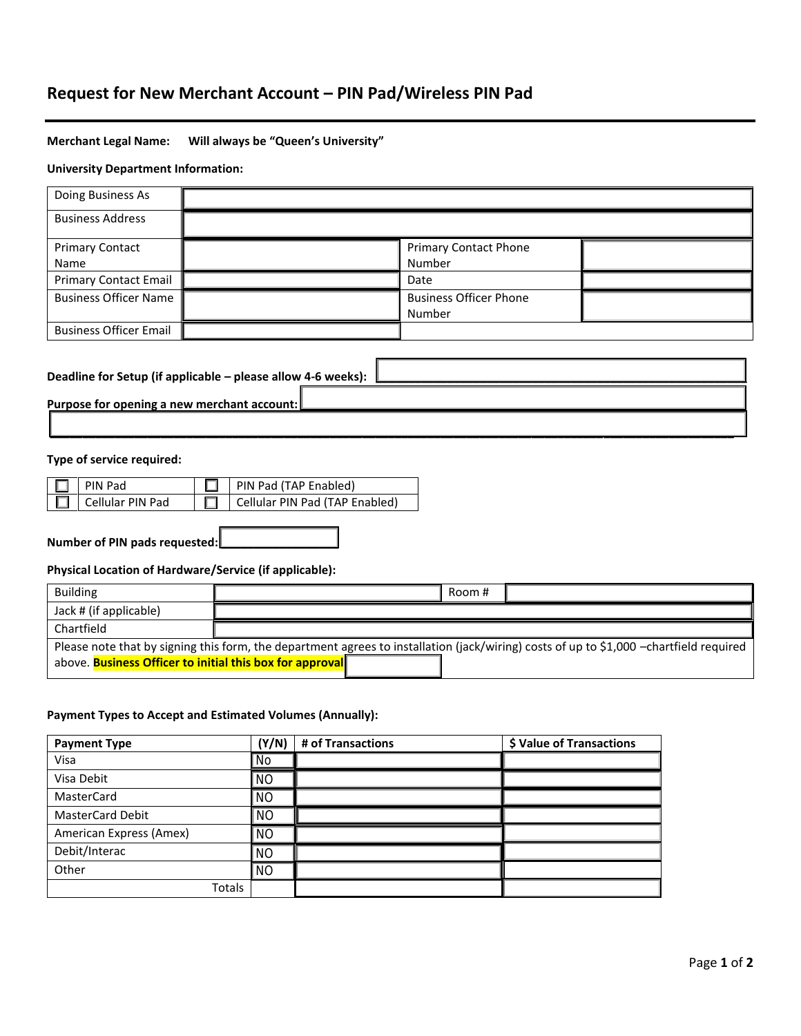# **Request for New Merchant Account – PIN Pad/Wireless PIN Pad**

# **Merchant Legal Name: Will always be "Queen's University"**

## **University Department Information:**

| Doing Business As                           |                                                              |                               |  |
|---------------------------------------------|--------------------------------------------------------------|-------------------------------|--|
| <b>Business Address</b>                     |                                                              |                               |  |
| <b>Primary Contact</b>                      |                                                              | <b>Primary Contact Phone</b>  |  |
| Name                                        |                                                              | Number                        |  |
| <b>Primary Contact Email</b>                |                                                              | Date                          |  |
| <b>Business Officer Name</b>                |                                                              | <b>Business Officer Phone</b> |  |
|                                             |                                                              | Number                        |  |
| <b>Business Officer Email</b>               |                                                              |                               |  |
|                                             |                                                              |                               |  |
|                                             | Deadline for Setup (if applicable - please allow 4-6 weeks): |                               |  |
| Purpose for opening a new merchant account: |                                                              |                               |  |

**\_\_\_\_\_\_\_\_\_\_\_\_\_\_\_\_\_\_\_\_\_\_\_\_\_\_\_\_\_\_\_\_\_\_\_\_\_\_\_\_\_\_\_\_\_\_\_\_\_\_\_\_\_\_\_\_\_\_\_\_\_\_\_\_\_\_\_\_\_\_\_\_\_\_\_\_\_\_\_\_\_\_\_\_\_\_\_\_\_\_\_\_\_\_\_\_\_\_\_\_\_\_\_\_\_**

# **Type of service required:**

| $\Box$ PIN Pad          | $\Box$ PIN Pad (TAP Enabled)   |
|-------------------------|--------------------------------|
| $\Box$ Cellular PIN Pad | Cellular PIN Pad (TAP Enabled) |

**Number of PIN pads requested: \_\_\_\_\_\_\_\_\_\_\_\_\_\_\_\_\_\_**

**Physical Location of Hardware/Service (if applicable):**

| <b>Building</b>                                                 | Room #                                                                                                                                 |
|-----------------------------------------------------------------|----------------------------------------------------------------------------------------------------------------------------------------|
| Jack # (if applicable)                                          |                                                                                                                                        |
| Chartfield                                                      |                                                                                                                                        |
|                                                                 | Please note that by signing this form, the department agrees to installation (jack/wiring) costs of up to \$1,000 -chartfield required |
| above. <b>Business Officer to initial this box for approval</b> |                                                                                                                                        |

# **Payment Types to Accept and Estimated Volumes (Annually):**

| <b>Payment Type</b>     | (Y/N)     | # of Transactions | \$ Value of Transactions |
|-------------------------|-----------|-------------------|--------------------------|
| Visa                    | No        |                   |                          |
| Visa Debit              | <b>NO</b> |                   |                          |
| <b>MasterCard</b>       | <b>NO</b> |                   |                          |
| <b>MasterCard Debit</b> | <b>NO</b> |                   |                          |
| American Express (Amex) | <b>NO</b> |                   |                          |
| Debit/Interac           | <b>NO</b> |                   |                          |
| Other                   | <b>NO</b> |                   |                          |
| Totals                  |           |                   |                          |